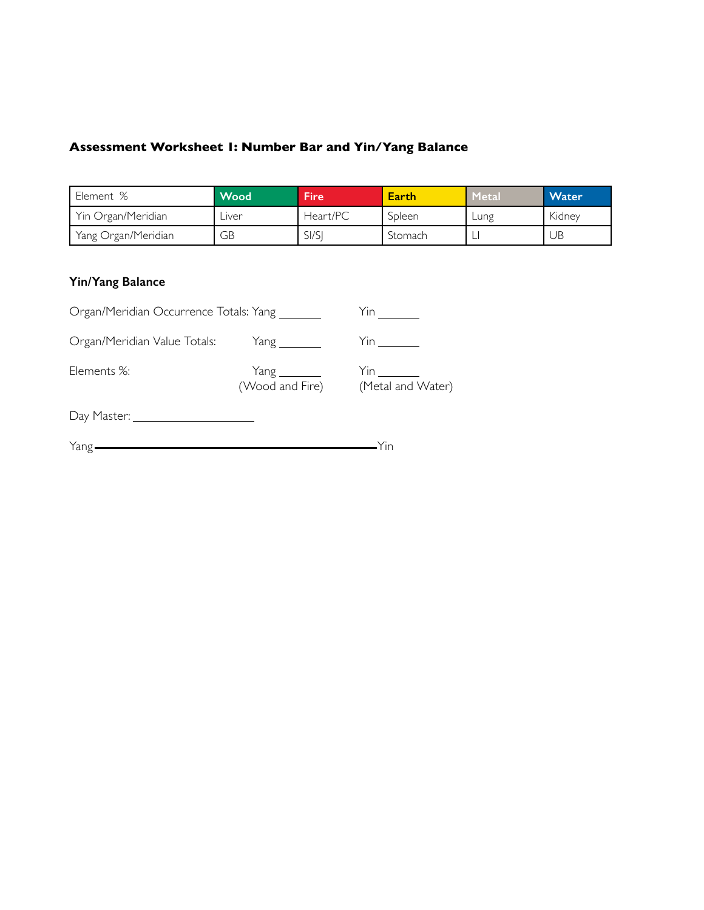# **Assessment Worksheet 1: Number Bar and Yin/Yang Balance**

| Element %           | <b>Wood</b> | <b>Fire</b> | Earth   | Metal | <b>Water</b> |
|---------------------|-------------|-------------|---------|-------|--------------|
| Yin Organ/Meridian  | Liver       | Heart/PC    | Spleen  | Lung  | Kidney       |
| Yang Organ/Meridian | GВ          | SI/SI       | Stomach |       | UB           |
|                     |             |             |         |       |              |

### **Yin/Yang Balance**

| Organ/Meridian Occurrence Totals: Yang |                        | Yin               |
|----------------------------------------|------------------------|-------------------|
| Organ/Meridian Value Totals:           | $Yang \_\_\_\_\_\_\_\$ |                   |
| Elements %:                            | (Wood and Fire)        | (Metal and Water) |
|                                        |                        |                   |
| Yang-                                  |                        |                   |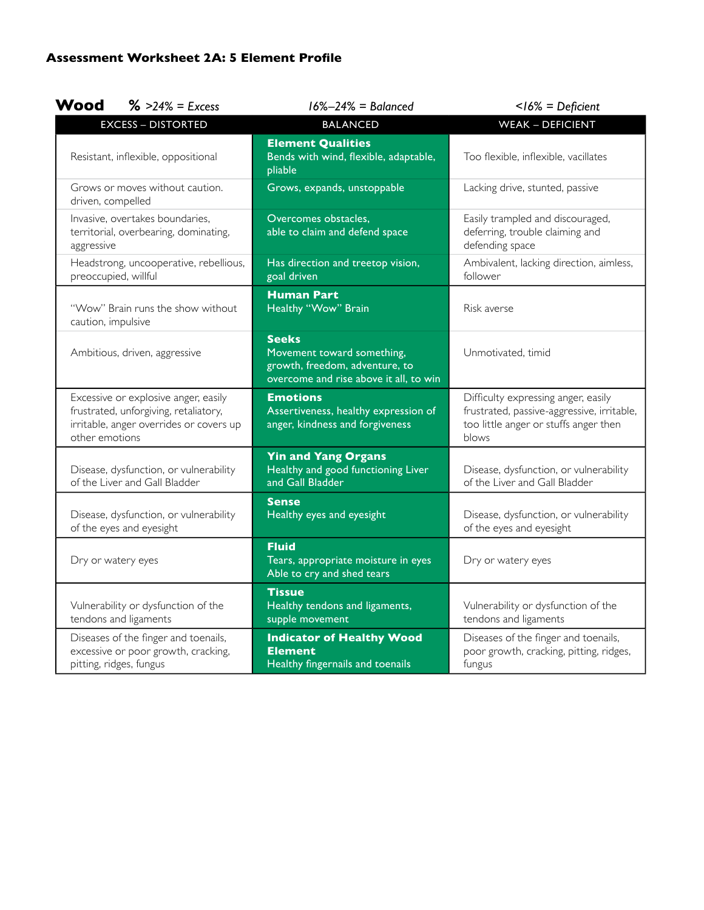| <b>Wood</b><br>$\frac{9}{6}$ >24% = Excess                                                                                                 | $16\% - 24\% =$ Balanced                                                                                               | $<$ 16% = Deficient                                                                                                                 |
|--------------------------------------------------------------------------------------------------------------------------------------------|------------------------------------------------------------------------------------------------------------------------|-------------------------------------------------------------------------------------------------------------------------------------|
| <b>EXCESS - DISTORTED</b>                                                                                                                  | <b>BALANCED</b>                                                                                                        | <b>WEAK - DEFICIENT</b>                                                                                                             |
| Resistant, inflexible, oppositional                                                                                                        | <b>Element Qualities</b><br>Bends with wind, flexible, adaptable,<br>pliable                                           | Too flexible, inflexible, vacillates                                                                                                |
| Grows or moves without caution.<br>driven, compelled                                                                                       | Grows, expands, unstoppable                                                                                            | Lacking drive, stunted, passive                                                                                                     |
| Invasive, overtakes boundaries,<br>territorial, overbearing, dominating,<br>aggressive                                                     | Overcomes obstacles.<br>able to claim and defend space                                                                 | Easily trampled and discouraged,<br>deferring, trouble claiming and<br>defending space                                              |
| Headstrong, uncooperative, rebellious,<br>preoccupied, willful                                                                             | Has direction and treetop vision,<br>goal driven                                                                       | Ambivalent, lacking direction, aimless,<br>follower                                                                                 |
| "Wow" Brain runs the show without<br>caution, impulsive                                                                                    | <b>Human Part</b><br>Healthy "Wow" Brain                                                                               | Risk averse                                                                                                                         |
| Ambitious, driven, aggressive                                                                                                              | <b>Seeks</b><br>Movement toward something,<br>growth, freedom, adventure, to<br>overcome and rise above it all, to win | Unmotivated, timid                                                                                                                  |
| Excessive or explosive anger, easily<br>frustrated, unforgiving, retaliatory,<br>irritable, anger overrides or covers up<br>other emotions | <b>Emotions</b><br>Assertiveness, healthy expression of<br>anger, kindness and forgiveness                             | Difficulty expressing anger, easily<br>frustrated, passive-aggressive, irritable,<br>too little anger or stuffs anger then<br>blows |
| Disease, dysfunction, or vulnerability<br>of the Liver and Gall Bladder                                                                    | <b>Yin and Yang Organs</b><br>Healthy and good functioning Liver<br>and Gall Bladder                                   | Disease, dysfunction, or vulnerability<br>of the Liver and Gall Bladder                                                             |
| Disease, dysfunction, or vulnerability<br>of the eyes and eyesight                                                                         | <b>Sense</b><br>Healthy eyes and eyesight                                                                              | Disease, dysfunction, or vulnerability<br>of the eyes and eyesight                                                                  |
| Dry or watery eyes                                                                                                                         | <b>Fluid</b><br>Tears, appropriate moisture in eyes<br>Able to cry and shed tears                                      | Dry or watery eyes                                                                                                                  |
| Vulnerability or dysfunction of the<br>tendons and ligaments                                                                               | <b>Tissue</b><br>Healthy tendons and ligaments,<br>supple movement                                                     | Vulnerability or dysfunction of the<br>tendons and ligaments                                                                        |
| Diseases of the finger and toenails,<br>excessive or poor growth, cracking,<br>pitting, ridges, fungus                                     | <b>Indicator of Healthy Wood</b><br><b>Element</b><br>Healthy fingernails and toenails                                 | Diseases of the finger and toenails,<br>poor growth, cracking, pitting, ridges,<br>fungus                                           |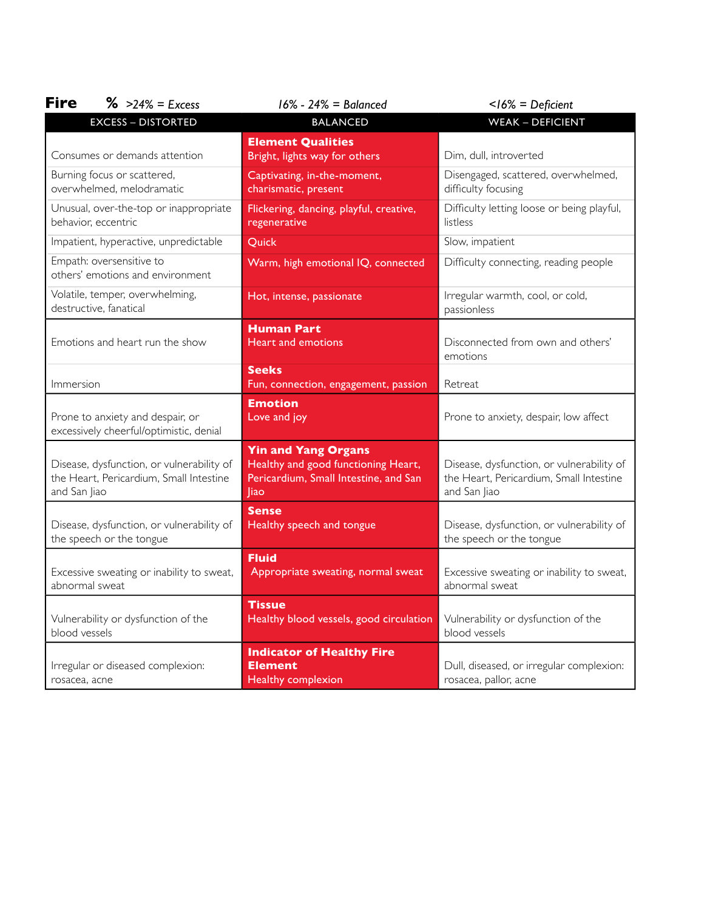| <b>Fire</b><br>$\frac{1}{6}$ >24% = Excess                                                           | $16\% - 24\% =$ Balanced                                                                                           | $<$ 16% = Deficient                                                                                  |
|------------------------------------------------------------------------------------------------------|--------------------------------------------------------------------------------------------------------------------|------------------------------------------------------------------------------------------------------|
| <b>EXCESS - DISTORTED</b>                                                                            | <b>BALANCED</b>                                                                                                    | <b>WEAK - DEFICIENT</b>                                                                              |
| Consumes or demands attention                                                                        | <b>Element Qualities</b><br>Bright, lights way for others                                                          | Dim, dull, introverted                                                                               |
| Burning focus or scattered,<br>overwhelmed, melodramatic                                             | Captivating, in-the-moment,<br>charismatic, present                                                                | Disengaged, scattered, overwhelmed,<br>difficulty focusing                                           |
| Unusual, over-the-top or inappropriate<br>behavior, eccentric                                        | Flickering, dancing, playful, creative,<br>regenerative                                                            | Difficulty letting loose or being playful,<br>listless                                               |
| Impatient, hyperactive, unpredictable                                                                | Quick                                                                                                              | Slow, impatient                                                                                      |
| Empath: oversensitive to<br>others' emotions and environment                                         | Warm, high emotional IQ, connected                                                                                 | Difficulty connecting, reading people                                                                |
| Volatile, temper, overwhelming,<br>destructive, fanatical                                            | Hot, intense, passionate                                                                                           | Irregular warmth, cool, or cold,<br>passionless                                                      |
| Emotions and heart run the show                                                                      | Human Part<br><b>Heart and emotions</b>                                                                            | Disconnected from own and others'<br>emotions                                                        |
| Immersion                                                                                            | <b>Seeks</b><br>Fun, connection, engagement, passion                                                               | Retreat                                                                                              |
| Prone to anxiety and despair, or<br>excessively cheerful/optimistic, denial                          | <b>Emotion</b><br>Love and joy                                                                                     | Prone to anxiety, despair, low affect                                                                |
| Disease, dysfunction, or vulnerability of<br>the Heart, Pericardium, Small Intestine<br>and San Jiao | <b>Yin and Yang Organs</b><br>Healthy and good functioning Heart,<br>Pericardium, Small Intestine, and San<br> iao | Disease, dysfunction, or vulnerability of<br>the Heart, Pericardium, Small Intestine<br>and San Jiao |
| Disease, dysfunction, or vulnerability of<br>the speech or the tongue                                | <b>Sense</b><br>Healthy speech and tongue                                                                          | Disease, dysfunction, or vulnerability of<br>the speech or the tongue                                |
| Excessive sweating or inability to sweat,<br>abnormal sweat                                          | <b>Fluid</b><br>Appropriate sweating, normal sweat                                                                 | Excessive sweating or inability to sweat,<br>abnormal sweat                                          |
| Vulnerability or dysfunction of the<br>blood vessels                                                 | <b>Tissue</b><br>Healthy blood vessels, good circulation                                                           | Vulnerability or dysfunction of the<br>blood vessels                                                 |
| Irregular or diseased complexion:<br>rosacea, acne                                                   | <b>Indicator of Healthy Fire</b><br><b>Element</b><br><b>Healthy complexion</b>                                    | Dull, diseased, or irregular complexion:<br>rosacea, pallor, acne                                    |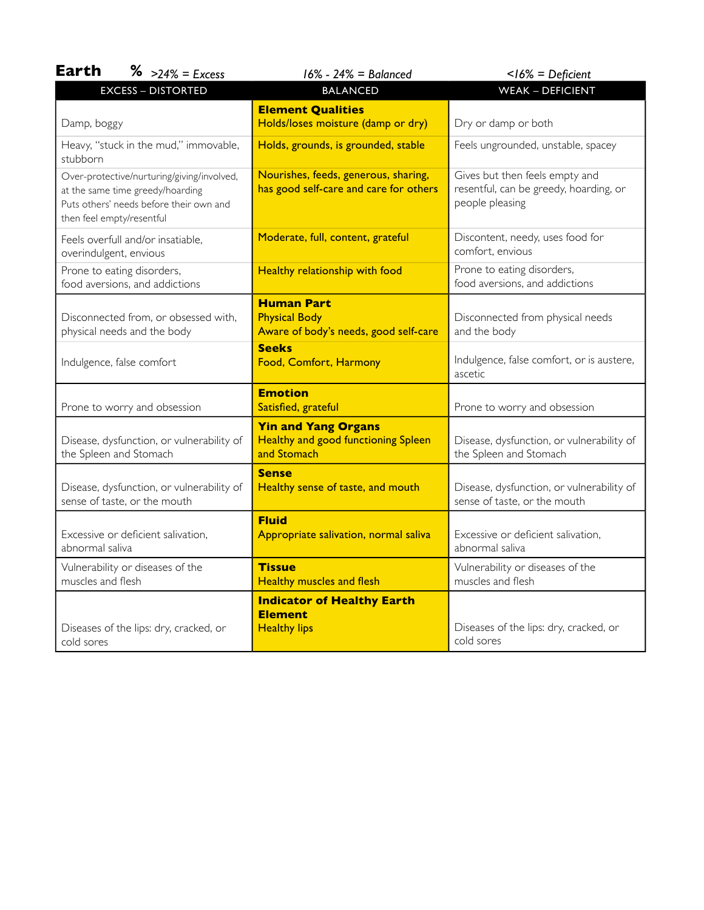| <b>Earth</b><br>$\frac{9}{6}$ >24% = Excess                                                                                                            | $16\% - 24\% =$ Balanced                                                                | $<$ 16% = Deficient                                                                         |
|--------------------------------------------------------------------------------------------------------------------------------------------------------|-----------------------------------------------------------------------------------------|---------------------------------------------------------------------------------------------|
| <b>EXCESS - DISTORTED</b>                                                                                                                              | <b>BALANCED</b>                                                                         | <b>WEAK - DEFICIENT</b>                                                                     |
| Damp, boggy                                                                                                                                            | <b>Element Qualities</b><br>Holds/loses moisture (damp or dry)                          | Dry or damp or both                                                                         |
| Heavy, "stuck in the mud," immovable,<br>stubborn                                                                                                      | Holds, grounds, is grounded, stable                                                     | Feels ungrounded, unstable, spacey                                                          |
| Over-protective/nurturing/giving/involved,<br>at the same time greedy/hoarding<br>Puts others' needs before their own and<br>then feel empty/resentful | Nourishes, feeds, generous, sharing,<br>has good self-care and care for others          | Gives but then feels empty and<br>resentful, can be greedy, hoarding, or<br>people pleasing |
| Feels overfull and/or insatiable,<br>overindulgent, envious                                                                                            | Moderate, full, content, grateful                                                       | Discontent, needy, uses food for<br>comfort, envious                                        |
| Prone to eating disorders,<br>food aversions, and addictions                                                                                           | Healthy relationship with food                                                          | Prone to eating disorders,<br>food aversions, and addictions                                |
| Disconnected from, or obsessed with,<br>physical needs and the body                                                                                    | <b>Human Part</b><br><b>Physical Body</b><br>Aware of body's needs, good self-care      | Disconnected from physical needs<br>and the body                                            |
| Indulgence, false comfort                                                                                                                              | <b>Seeks</b><br>Food, Comfort, Harmony                                                  | Indulgence, false comfort, or is austere,<br>ascetic                                        |
| Prone to worry and obsession                                                                                                                           | <b>Emotion</b><br>Satisfied, grateful                                                   | Prone to worry and obsession                                                                |
| Disease, dysfunction, or vulnerability of<br>the Spleen and Stomach                                                                                    | <b>Yin and Yang Organs</b><br><b>Healthy and good functioning Spleen</b><br>and Stomach | Disease, dysfunction, or vulnerability of<br>the Spleen and Stomach                         |
| Disease, dysfunction, or vulnerability of<br>sense of taste, or the mouth                                                                              | <b>Sense</b><br>Healthy sense of taste, and mouth                                       | Disease, dysfunction, or vulnerability of<br>sense of taste, or the mouth                   |
| Excessive or deficient salivation,<br>abnormal saliva                                                                                                  | <b>Fluid</b><br>Appropriate salivation, normal saliva                                   | Excessive or deficient salivation,<br>abnormal saliva                                       |
| Vulnerability or diseases of the<br>muscles and flesh                                                                                                  | <b>Tissue</b><br><b>Healthy muscles and flesh</b>                                       | Vulnerability or diseases of the<br>muscles and flesh                                       |
| Diseases of the lips: dry, cracked, or<br>cold sores                                                                                                   | <b>Indicator of Healthy Earth</b><br><b>Element</b><br><b>Healthy lips</b>              | Diseases of the lips: dry, cracked, or<br>cold sores                                        |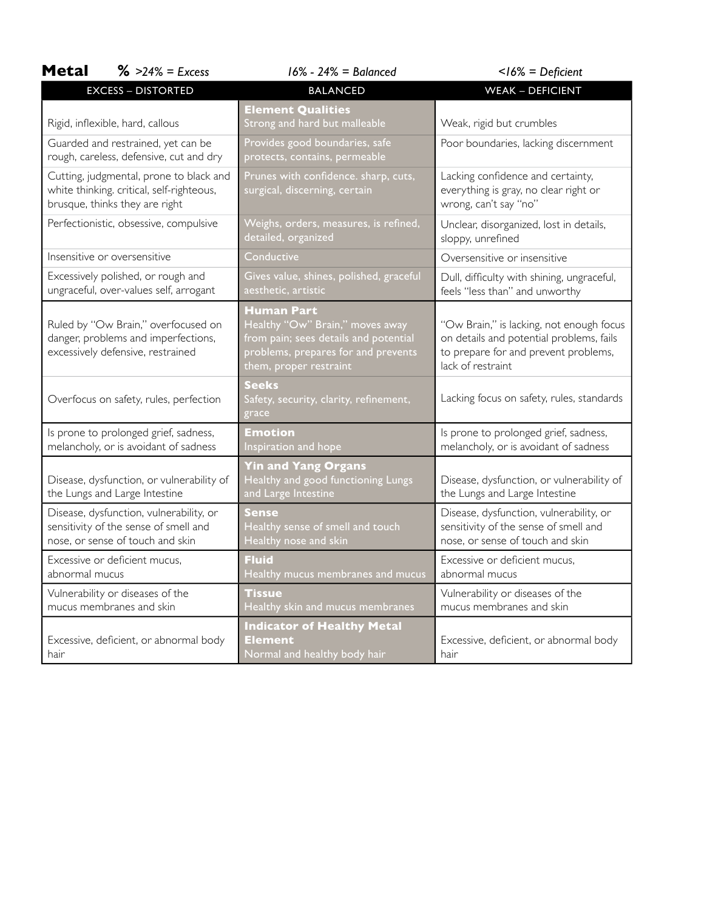| <b>Metal</b><br>$\frac{9}{6}$ >24% = Excess                                                                            | $16\% - 24\% =$ Balanced                                                                                                                                | $<$ 16% = Deficient                                                                                                                               |
|------------------------------------------------------------------------------------------------------------------------|---------------------------------------------------------------------------------------------------------------------------------------------------------|---------------------------------------------------------------------------------------------------------------------------------------------------|
| <b>EXCESS - DISTORTED</b>                                                                                              | <b>BALANCED</b>                                                                                                                                         | <b>WEAK - DEFICIENT</b>                                                                                                                           |
| Rigid, inflexible, hard, callous                                                                                       | <b>Element Qualities</b><br>Strong and hard but malleable                                                                                               | Weak, rigid but crumbles                                                                                                                          |
| Guarded and restrained, yet can be<br>rough, careless, defensive, cut and dry                                          | Provides good boundaries, safe<br>protects, contains, permeable                                                                                         | Poor boundaries, lacking discernment                                                                                                              |
| Cutting, judgmental, prone to black and<br>white thinking. critical, self-righteous,<br>brusque, thinks they are right | Prunes with confidence. sharp, cuts,<br>surgical, discerning, certain                                                                                   | Lacking confidence and certainty,<br>everything is gray, no clear right or<br>wrong, can't say "no"                                               |
| Perfectionistic, obsessive, compulsive                                                                                 | Weighs, orders, measures, is refined,<br>detailed, organized                                                                                            | Unclear, disorganized, lost in details,<br>sloppy, unrefined                                                                                      |
| Insensitive or oversensitive                                                                                           | Conductive                                                                                                                                              | Oversensitive or insensitive                                                                                                                      |
| Excessively polished, or rough and<br>ungraceful, over-values self, arrogant                                           | Gives value, shines, polished, graceful<br>aesthetic, artistic                                                                                          | Dull, difficulty with shining, ungraceful,<br>feels "less than" and unworthy                                                                      |
| Ruled by "Ow Brain," overfocused on<br>danger, problems and imperfections,<br>excessively defensive, restrained        | Human Part<br>Healthy "Ow" Brain," moves away<br>from pain; sees details and potential<br>problems, prepares for and prevents<br>them, proper restraint | "Ow Brain," is lacking, not enough focus<br>on details and potential problems, fails<br>to prepare for and prevent problems,<br>lack of restraint |
| Overfocus on safety, rules, perfection                                                                                 | <b>Seeks</b><br>Safety, security, clarity, refinement,<br>grace                                                                                         | Lacking focus on safety, rules, standards                                                                                                         |
| Is prone to prolonged grief, sadness,<br>melancholy, or is avoidant of sadness                                         | Emotion<br>Inspiration and hope                                                                                                                         | Is prone to prolonged grief, sadness,<br>melancholy, or is avoidant of sadness                                                                    |
| Disease, dysfunction, or vulnerability of<br>the Lungs and Large Intestine                                             | <b>Yin and Yang Organs</b><br>Healthy and good functioning Lungs<br>and Large Intestine                                                                 | Disease, dysfunction, or vulnerability of<br>the Lungs and Large Intestine                                                                        |
| Disease, dysfunction, vulnerability, or<br>sensitivity of the sense of smell and<br>nose, or sense of touch and skin   | <b>Sense</b><br>Healthy sense of smell and touch<br>Healthy nose and skin                                                                               | Disease, dysfunction, vulnerability, or<br>sensitivity of the sense of smell and<br>nose, or sense of touch and skin                              |
| Excessive or deficient mucus,<br>abnormal mucus                                                                        | <b>Fluid</b><br>Healthy mucus membranes and mucus                                                                                                       | Excessive or deficient mucus,<br>abnormal mucus                                                                                                   |
| Vulnerability or diseases of the<br>mucus membranes and skin                                                           | Tissue<br>Healthy skin and mucus membranes                                                                                                              | Vulnerability or diseases of the<br>mucus membranes and skin                                                                                      |
| Excessive, deficient, or abnormal body<br>hair                                                                         | <b>Indicator of Healthy Metal</b><br>Element<br>Normal and healthy body hair                                                                            | Excessive, deficient, or abnormal body<br>hair                                                                                                    |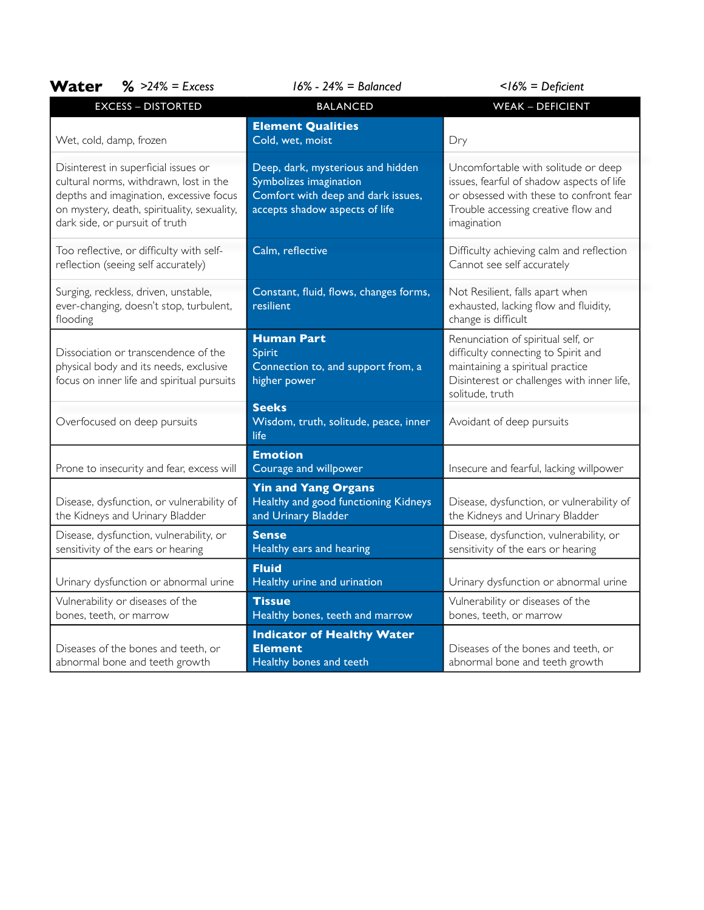| Water<br>$\frac{9}{6}$ >24% = Excess                                                                                                                                                                       | $16\% - 24\% =$ Balanced                                                                                                            | $<$ 16% = Deficient                                                                                                                                                               |
|------------------------------------------------------------------------------------------------------------------------------------------------------------------------------------------------------------|-------------------------------------------------------------------------------------------------------------------------------------|-----------------------------------------------------------------------------------------------------------------------------------------------------------------------------------|
| <b>EXCESS - DISTORTED</b>                                                                                                                                                                                  | <b>BALANCED</b>                                                                                                                     | <b>WEAK - DEFICIENT</b>                                                                                                                                                           |
| Wet, cold, damp, frozen                                                                                                                                                                                    | <b>Element Qualities</b><br>Cold, wet, moist                                                                                        | Dry                                                                                                                                                                               |
| Disinterest in superficial issues or<br>cultural norms, withdrawn, lost in the<br>depths and imagination, excessive focus<br>on mystery, death, spirituality, sexuality,<br>dark side, or pursuit of truth | Deep, dark, mysterious and hidden<br>Symbolizes imagination<br>Comfort with deep and dark issues,<br>accepts shadow aspects of life | Uncomfortable with solitude or deep<br>issues, fearful of shadow aspects of life<br>or obsessed with these to confront fear<br>Trouble accessing creative flow and<br>imagination |
| Too reflective, or difficulty with self-<br>reflection (seeing self accurately)                                                                                                                            | Calm, reflective                                                                                                                    | Difficulty achieving calm and reflection<br>Cannot see self accurately                                                                                                            |
| Surging, reckless, driven, unstable,<br>ever-changing, doesn't stop, turbulent,<br>flooding                                                                                                                | Constant, fluid, flows, changes forms,<br>resilient                                                                                 | Not Resilient, falls apart when<br>exhausted, lacking flow and fluidity,<br>change is difficult                                                                                   |
| Dissociation or transcendence of the<br>physical body and its needs, exclusive<br>focus on inner life and spiritual pursuits                                                                               | <b>Human Part</b><br>Spirit<br>Connection to, and support from, a<br>higher power                                                   | Renunciation of spiritual self, or<br>difficulty connecting to Spirit and<br>maintaining a spiritual practice<br>Disinterest or challenges with inner life,<br>solitude, truth    |
| Overfocused on deep pursuits                                                                                                                                                                               | <b>Seeks</b><br>Wisdom, truth, solitude, peace, inner<br>life                                                                       | Avoidant of deep pursuits                                                                                                                                                         |
| Prone to insecurity and fear, excess will                                                                                                                                                                  | <b>Emotion</b><br>Courage and willpower                                                                                             | Insecure and fearful, lacking willpower                                                                                                                                           |
| Disease, dysfunction, or vulnerability of<br>the Kidneys and Urinary Bladder                                                                                                                               | <b>Yin and Yang Organs</b><br>Healthy and good functioning Kidneys<br>and Urinary Bladder                                           | Disease, dysfunction, or vulnerability of<br>the Kidneys and Urinary Bladder                                                                                                      |
| Disease, dysfunction, vulnerability, or<br>sensitivity of the ears or hearing                                                                                                                              | <b>Sense</b><br>Healthy ears and hearing                                                                                            | Disease, dysfunction, vulnerability, or<br>sensitivity of the ears or hearing                                                                                                     |
| Urinary dysfunction or abnormal urine                                                                                                                                                                      | <b>Fluid</b><br>Healthy urine and urination                                                                                         | Urinary dysfunction or abnormal urine                                                                                                                                             |
| Vulnerability or diseases of the<br>bones, teeth, or marrow                                                                                                                                                | <b>Tissue</b><br>Healthy bones, teeth and marrow                                                                                    | Vulnerability or diseases of the<br>bones, teeth, or marrow                                                                                                                       |
| Diseases of the bones and teeth, or<br>abnormal bone and teeth growth                                                                                                                                      | <b>Indicator of Healthy Water</b><br><b>Element</b><br>Healthy bones and teeth                                                      | Diseases of the bones and teeth, or<br>abnormal bone and teeth growth                                                                                                             |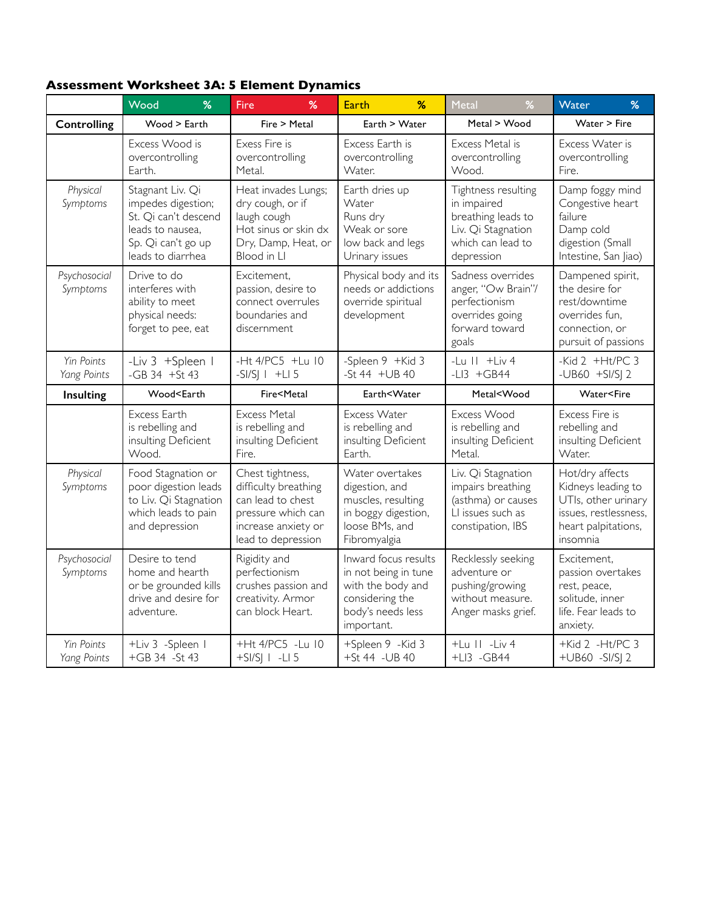### **Assessment Worksheet 3A: 5 Element Dynamics**

|                                  | %<br>Wood                                                                                                                                                                   | %<br>Fire                                                                                                                               | <b>Earth</b><br>%                                                                                                       | %<br>Metal                                                                                                        | %<br>Water                                                                                                               |
|----------------------------------|-----------------------------------------------------------------------------------------------------------------------------------------------------------------------------|-----------------------------------------------------------------------------------------------------------------------------------------|-------------------------------------------------------------------------------------------------------------------------|-------------------------------------------------------------------------------------------------------------------|--------------------------------------------------------------------------------------------------------------------------|
| Controlling                      | Wood > Earth                                                                                                                                                                | Fire > Metal                                                                                                                            | Earth > Water                                                                                                           | Metal > Wood                                                                                                      | Water > Fire                                                                                                             |
|                                  | Excess Wood is<br>overcontrolling<br>Earth.                                                                                                                                 | Exess Fire is<br>overcontrolling<br>Metal.                                                                                              | Excess Earth is<br>overcontrolling<br>Water.                                                                            | Excess Metal is<br>overcontrolling<br>Wood.                                                                       | Excess Water is<br>overcontrolling<br>Fire.                                                                              |
| Physical<br>Symptoms             | Stagnant Liv. Qi<br>impedes digestion;<br>St. Qi can't descend<br>leads to nausea,<br>Sp. Qi can't go up<br>leads to diarrhea                                               | Heat invades Lungs;<br>dry cough, or if<br>laugh cough<br>Hot sinus or skin dx<br>Dry, Damp, Heat, or<br>Blood in Ll                    | Earth dries up<br>Water<br>Runs dry<br>Weak or sore<br>low back and legs<br>Urinary issues                              | Tightness resulting<br>in impaired<br>breathing leads to<br>Liv. Qi Stagnation<br>which can lead to<br>depression | Damp foggy mind<br>Congestive heart<br>failure<br>Damp cold<br>digestion (Small<br>Intestine, San Jiao)                  |
| Psychosocial<br>Symptoms         | Drive to do<br>interferes with<br>ability to meet<br>physical needs:<br>forget to pee, eat                                                                                  | Excitement,<br>passion, desire to<br>connect overrules<br>boundaries and<br>discernment                                                 | Physical body and its<br>needs or addictions<br>override spiritual<br>development                                       | Sadness overrides<br>anger, "Ow Brain"/<br>perfectionism<br>overrides going<br>forward toward<br>goals            | Dampened spirit,<br>the desire for<br>rest/downtime<br>overrides fun,<br>connection, or<br>pursuit of passions           |
| Yin Points<br>Yang Points        | -Liv 3 +Spleen I<br>$-GB$ 34 $+St$ 43                                                                                                                                       | -Ht 4/PC5 +Lu 10<br>$-SI/SI   +LI 5$                                                                                                    | -Spleen 9 +Kid 3<br>$-5t$ 44 $+UB$ 40                                                                                   | -Lu $   +$ Liv 4<br>-LI3 $+GB44$                                                                                  | -Kid $2$ +Ht/PC 3<br>-UB60 $+$ SI/SJ 2                                                                                   |
| Insulting                        | Wood <earth< th=""><th>Fire<metal< th=""><th>Earth<water< th=""><th>Metal<wood< th=""><th>Water<fire< th=""></fire<></th></wood<></th></water<></th></metal<></th></earth<> | Fire <metal< th=""><th>Earth<water< th=""><th>Metal<wood< th=""><th>Water<fire< th=""></fire<></th></wood<></th></water<></th></metal<> | Earth <water< th=""><th>Metal<wood< th=""><th>Water<fire< th=""></fire<></th></wood<></th></water<>                     | Metal <wood< th=""><th>Water<fire< th=""></fire<></th></wood<>                                                    | Water <fire< th=""></fire<>                                                                                              |
|                                  | Excess Earth<br>is rebelling and<br>insulting Deficient<br>Wood.                                                                                                            | <b>Excess Metal</b><br>is rebelling and<br>insulting Deficient<br>Fire.                                                                 | Excess Water<br>is rebelling and<br>insulting Deficient<br>Earth.                                                       | Excess Wood<br>is rebelling and<br>insulting Deficient<br>Metal.                                                  | Excess Fire is<br>rebelling and<br>insulting Deficient<br>Water.                                                         |
| Physical<br>Symptoms             | Food Stagnation or<br>poor digestion leads<br>to Liv. Qi Stagnation<br>which leads to pain<br>and depression                                                                | Chest tightness,<br>difficulty breathing<br>can lead to chest<br>pressure which can<br>increase anxiety or<br>lead to depression        | Water overtakes<br>digestion, and<br>muscles, resulting<br>in boggy digestion,<br>loose BMs, and<br>Fibromyalgia        | Liv. Qi Stagnation<br>impairs breathing<br>(asthma) or causes<br>LI issues such as<br>constipation, IBS           | Hot/dry affects<br>Kidneys leading to<br>UTIs, other urinary<br>issues, restlessness,<br>heart palpitations,<br>insomnia |
| Psychosocial<br>Symptoms         | Desire to tend<br>home and hearth<br>or be grounded kills<br>drive and desire for<br>adventure.                                                                             | Rigidity and<br>perfectionism<br>crushes passion and<br>creativity. Armor<br>can block Heart.                                           | Inward focus results<br>in not being in tune<br>with the body and<br>considering the<br>body's needs less<br>important. | Recklessly seeking<br>adventure or<br>pushing/growing<br>without measure.<br>Anger masks grief.                   | Excitement.<br>passion overtakes<br>rest, peace,<br>solitude, inner<br>life. Fear leads to<br>anxiety.                   |
| <b>Yin Points</b><br>Yang Points | +Liv 3 -Spleen I<br>+GB 34 -St 43                                                                                                                                           | +Ht 4/PC5 -Lu 10<br>$+SI/S$   $-LI$ 5                                                                                                   | +Spleen 9 -Kid 3<br>+St 44 - UB 40                                                                                      | $+Lu$ $   -Liv$ 4<br>$+LI3 - GB44$                                                                                | +Kid 2 -Ht/PC 3<br>+UB60 -SI/SJ 2                                                                                        |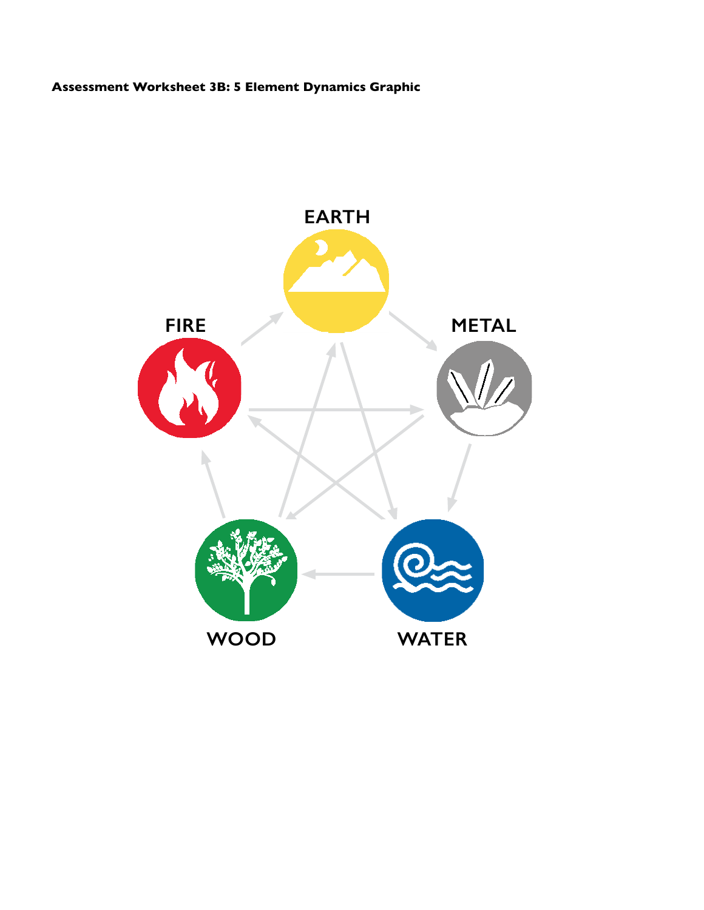### **Assessment Worksheet 3B: 5 Element Dynamics Graphic**

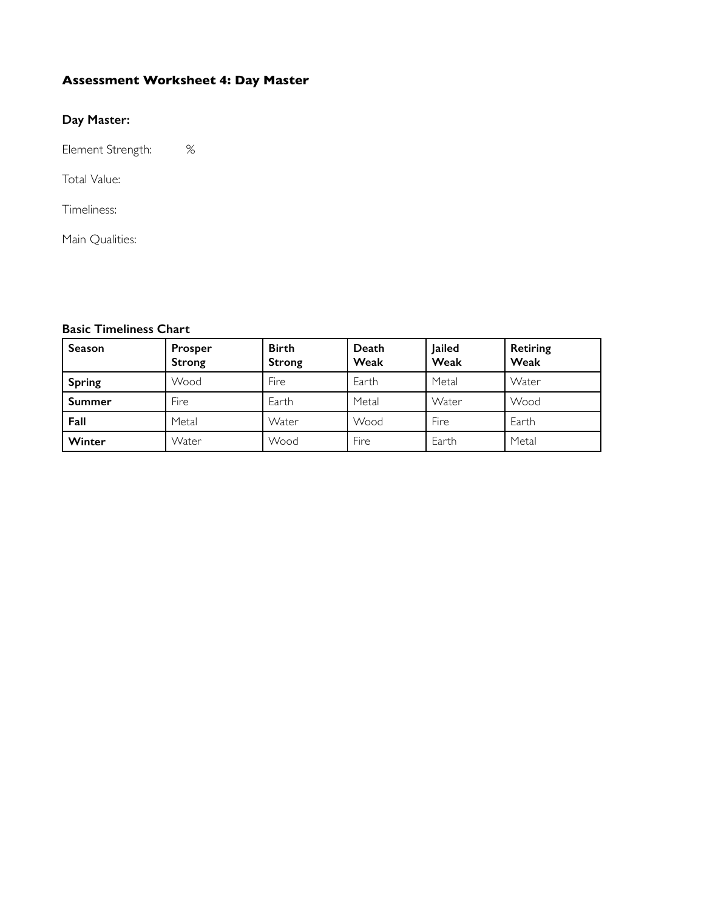### **Assessment Worksheet 4: Day Master**

#### **Day Master:**

Element Strength: %

Total Value:

Timeliness:

Main Qualities:

#### **Basic Timeliness Chart**

| Season        | Prosper<br><b>Strong</b> | <b>Birth</b><br><b>Strong</b> | Death<br>Weak | Jailed<br>Weak | <b>Retiring</b><br>Weak |
|---------------|--------------------------|-------------------------------|---------------|----------------|-------------------------|
| <b>Spring</b> | Wood                     | Fire                          | Earth         | Metal          | Water                   |
| <b>Summer</b> | Fire                     | Earth                         | Metal         | Water          | Wood                    |
| Fall          | Metal                    | Water                         | Wood          | Fire           | Earth                   |
| Winter        | Water                    | Wood                          | Fire          | Earth          | Metal                   |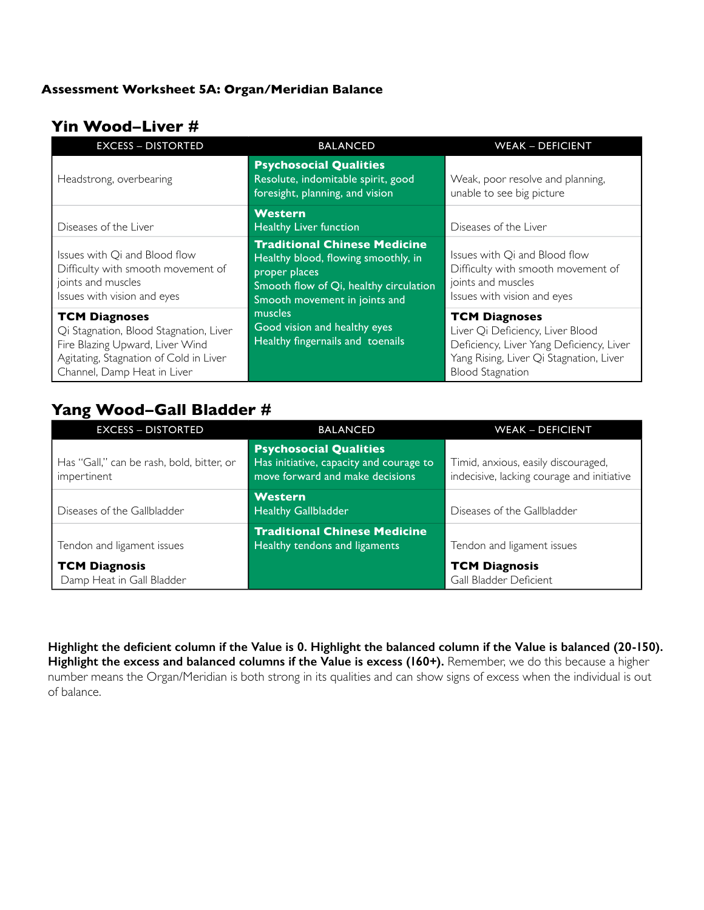#### **Assessment Worksheet 5A: Organ/Meridian Balance**

### **Yin Wood–Liver #**

| <b>EXCESS - DISTORTED</b>                                                                                                                                                  | <b>BALANCED</b>                                                                                                                                                        | <b>WEAK - DEFICIENT</b>                                                                                                                                                    |
|----------------------------------------------------------------------------------------------------------------------------------------------------------------------------|------------------------------------------------------------------------------------------------------------------------------------------------------------------------|----------------------------------------------------------------------------------------------------------------------------------------------------------------------------|
| Headstrong, overbearing                                                                                                                                                    | <b>Psychosocial Qualities</b><br>Resolute, indomitable spirit, good<br>foresight, planning, and vision                                                                 | Weak, poor resolve and planning,<br>unable to see big picture                                                                                                              |
| Diseases of the Liver                                                                                                                                                      | <b>Western</b><br><b>Healthy Liver function</b>                                                                                                                        | Diseases of the Liver                                                                                                                                                      |
| Issues with Qi and Blood flow<br>Difficulty with smooth movement of<br>joints and muscles<br>Issues with vision and eyes                                                   | <b>Traditional Chinese Medicine</b><br>Healthy blood, flowing smoothly, in<br>proper places<br>Smooth flow of Qi, healthy circulation<br>Smooth movement in joints and | Issues with Qi and Blood flow<br>Difficulty with smooth movement of<br>joints and muscles<br>Issues with vision and eyes                                                   |
| <b>TCM Diagnoses</b><br>Qi Stagnation, Blood Stagnation, Liver<br>Fire Blazing Upward, Liver Wind<br>Agitating, Stagnation of Cold in Liver<br>Channel, Damp Heat in Liver | muscles<br>Good vision and healthy eyes<br>Healthy fingernails and toenails                                                                                            | <b>TCM Diagnoses</b><br>Liver Qi Deficiency, Liver Blood<br>Deficiency, Liver Yang Deficiency, Liver<br>Yang Rising, Liver Qi Stagnation, Liver<br><b>Blood Stagnation</b> |

### **Yang Wood–Gall Bladder #**

| <b>EXCESS - DISTORTED</b>                                | <b>BALANCED</b>                                                                                             | <b>WEAK - DEFICIENT</b>                                                           |
|----------------------------------------------------------|-------------------------------------------------------------------------------------------------------------|-----------------------------------------------------------------------------------|
| Has "Gall," can be rash, bold, bitter, or<br>impertinent | <b>Psychosocial Qualities</b><br>Has initiative, capacity and courage to<br>move forward and make decisions | Timid, anxious, easily discouraged,<br>indecisive, lacking courage and initiative |
| Diseases of the Gallbladder                              | <b>Western</b><br><b>Healthy Gallbladder</b>                                                                | Diseases of the Gallbladder                                                       |
| Tendon and ligament issues                               | <b>Traditional Chinese Medicine</b><br>Healthy tendons and ligaments                                        | Tendon and ligament issues                                                        |
| <b>TCM Diagnosis</b><br>Damp Heat in Gall Bladder        |                                                                                                             | <b>TCM Diagnosis</b><br>Gall Bladder Deficient                                    |

Highlight the deficient column if the Value is 0. Highlight the balanced column if the Value is balanced (20-150). Highlight the excess and balanced columns if the Value is excess (160+). Remember, we do this because a higher number means the Organ/Meridian is both strong in its qualities and can show signs of excess when the individual is out of balance.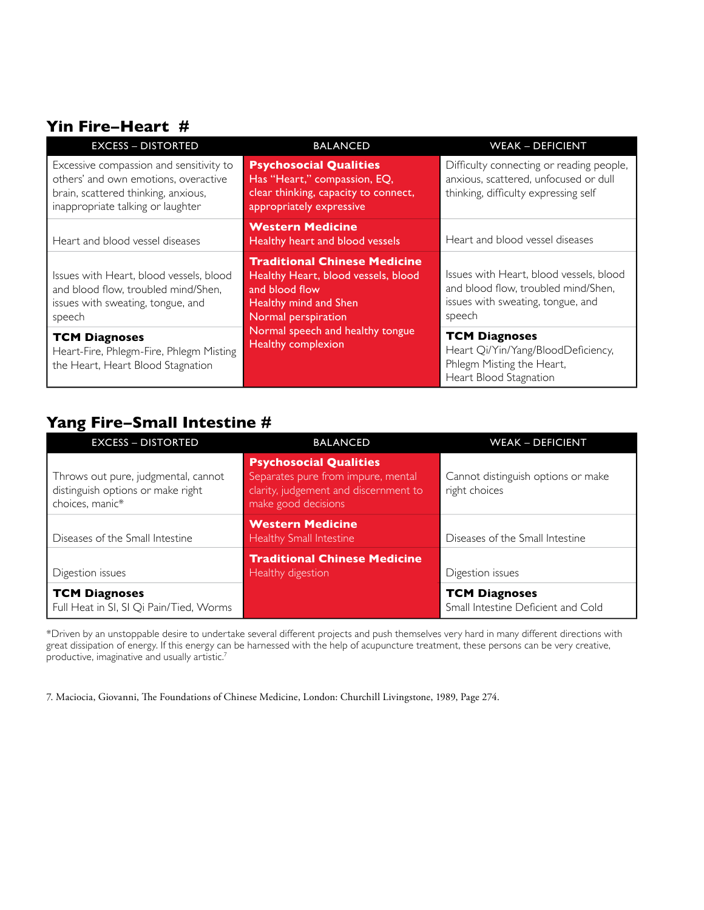### **Yin Fire–Heart #**

| <b>EXCESS - DISTORTED</b>                                                                                                                                   | <b>BALANCED</b>                                                                                                                              | <b>WEAK - DEFICIENT</b>                                                                                                       |
|-------------------------------------------------------------------------------------------------------------------------------------------------------------|----------------------------------------------------------------------------------------------------------------------------------------------|-------------------------------------------------------------------------------------------------------------------------------|
| Excessive compassion and sensitivity to<br>others' and own emotions, overactive<br>brain, scattered thinking, anxious,<br>inappropriate talking or laughter | <b>Psychosocial Qualities</b><br>Has "Heart," compassion, EQ,<br>clear thinking, capacity to connect,<br>appropriately expressive            | Difficulty connecting or reading people,<br>anxious, scattered, unfocused or dull<br>thinking, difficulty expressing self     |
| Heart and blood vessel diseases                                                                                                                             | <b>Western Medicine</b><br>Healthy heart and blood vessels                                                                                   | Heart and blood vessel diseases                                                                                               |
| Issues with Heart, blood vessels, blood<br>and blood flow, troubled mind/Shen,<br>issues with sweating, tongue, and<br>speech                               | <b>Traditional Chinese Medicine</b><br>Healthy Heart, blood vessels, blood<br>and blood flow<br>Healthy mind and Shen<br>Normal perspiration | Issues with Heart, blood vessels, blood<br>and blood flow, troubled mind/Shen,<br>issues with sweating, tongue, and<br>speech |
| <b>TCM Diagnoses</b><br>Heart-Fire, Phlegm-Fire, Phlegm Misting<br>the Heart, Heart Blood Stagnation                                                        | Normal speech and healthy tongue<br>Healthy complexion                                                                                       | <b>TCM Diagnoses</b><br>Heart Qi/Yin/Yang/BloodDeficiency,<br>Phlegm Misting the Heart,<br>Heart Blood Stagnation             |

## **Yang Fire–Small Intestine #**

| <b>EXCESS - DISTORTED</b>                                                                   | <b>BALANCED</b>                                                                                                                     | <b>WEAK - DEFICIENT</b>                                    |  |  |
|---------------------------------------------------------------------------------------------|-------------------------------------------------------------------------------------------------------------------------------------|------------------------------------------------------------|--|--|
| Throws out pure, judgmental, cannot<br>distinguish options or make right<br>choices, manic* | <b>Psychosocial Qualities</b><br>Separates pure from impure, mental<br>clarity, judgement and discernment to<br>make good decisions | Cannot distinguish options or make<br>right choices        |  |  |
| Diseases of the Small Intestine                                                             | <b>Western Medicine</b><br>Healthy Small Intestine                                                                                  | Diseases of the Small Intestine                            |  |  |
| Digestion issues                                                                            | <b>Traditional Chinese Medicine</b><br>Healthy digestion                                                                            | Digestion issues                                           |  |  |
| <b>TCM Diagnoses</b><br>Full Heat in SI, SI Qi Pain/Tied, Worms                             |                                                                                                                                     | <b>TCM Diagnoses</b><br>Small Intestine Deficient and Cold |  |  |

\*Driven by an unstoppable desire to undertake several different projects and push themselves very hard in many different directions with great dissipation of energy. If this energy can be harnessed with the help of acupuncture treatment, these persons can be very creative, productive, imaginative and usually artistic.7

7. Maciocia, Giovanni, The Foundations of Chinese Medicine, London: Churchill Livingstone, 1989, Page 274.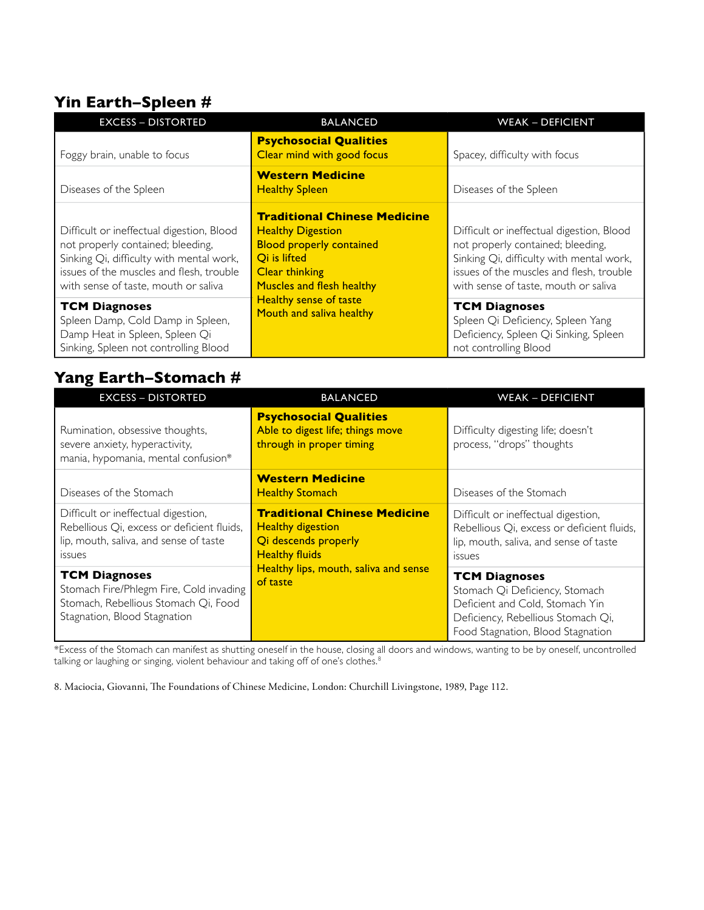## **Yin Earth–Spleen #**

| <b>EXCESS - DISTORTED</b>                                                                                                                                                                                      | <b>BALANCED</b>                                                                                                                                                          | <b>WEAK - DEFICIENT</b>                                                                                                                                                                                        |
|----------------------------------------------------------------------------------------------------------------------------------------------------------------------------------------------------------------|--------------------------------------------------------------------------------------------------------------------------------------------------------------------------|----------------------------------------------------------------------------------------------------------------------------------------------------------------------------------------------------------------|
| Foggy brain, unable to focus                                                                                                                                                                                   | <b>Psychosocial Qualities</b><br>Clear mind with good focus                                                                                                              | Spacey, difficulty with focus                                                                                                                                                                                  |
| Diseases of the Spleen                                                                                                                                                                                         | <b>Western Medicine</b><br><b>Healthy Spleen</b>                                                                                                                         | Diseases of the Spleen                                                                                                                                                                                         |
| Difficult or ineffectual digestion, Blood<br>not properly contained; bleeding,<br>Sinking Qi, difficulty with mental work,<br>issues of the muscles and flesh, trouble<br>with sense of taste, mouth or saliva | <b>Traditional Chinese Medicine</b><br><b>Healthy Digestion</b><br><b>Blood properly contained</b><br>Qi is lifted<br><b>Clear thinking</b><br>Muscles and flesh healthy | Difficult or ineffectual digestion, Blood<br>not properly contained; bleeding,<br>Sinking Qi, difficulty with mental work,<br>issues of the muscles and flesh, trouble<br>with sense of taste, mouth or saliva |
| <b>TCM Diagnoses</b><br>Spleen Damp, Cold Damp in Spleen,<br>Damp Heat in Spleen, Spleen Qi<br>Sinking, Spleen not controlling Blood                                                                           | <b>Healthy sense of taste</b><br>Mouth and saliva healthy                                                                                                                | <b>TCM Diagnoses</b><br>Spleen Qi Deficiency, Spleen Yang<br>Deficiency, Spleen Qi Sinking, Spleen<br>not controlling Blood                                                                                    |

## **Yang Earth–Stomach #**

| <b>EXCESS - DISTORTED</b>                                                                                                                    | <b>BALANCED</b>                                                                                                  | <b>WEAK - DEFICIENT</b>                                                                                                                                              |
|----------------------------------------------------------------------------------------------------------------------------------------------|------------------------------------------------------------------------------------------------------------------|----------------------------------------------------------------------------------------------------------------------------------------------------------------------|
| Rumination, obsessive thoughts,<br>severe anxiety, hyperactivity,<br>mania, hypomania, mental confusion*                                     | <b>Psychosocial Qualities</b><br>Able to digest life; things move<br>through in proper timing                    | Difficulty digesting life; doesn't<br>process, "drops" thoughts                                                                                                      |
| Diseases of the Stomach                                                                                                                      | <b>Western Medicine</b><br><b>Healthy Stomach</b>                                                                | Diseases of the Stomach                                                                                                                                              |
| Difficult or ineffectual digestion,<br>Rebellious Qi, excess or deficient fluids,<br>lip, mouth, saliva, and sense of taste<br><b>ISSUES</b> | <b>Traditional Chinese Medicine</b><br><b>Healthy digestion</b><br>Qi descends properly<br><b>Healthy fluids</b> | Difficult or ineffectual digestion,<br>Rebellious Qi, excess or deficient fluids,<br>lip, mouth, saliva, and sense of taste<br><b>ISSUES</b>                         |
| <b>TCM Diagnoses</b><br>Stomach Fire/Phlegm Fire, Cold invading<br>Stomach, Rebellious Stomach Qi, Food<br>Stagnation, Blood Stagnation      | Healthy lips, mouth, saliva and sense<br>of taste                                                                | <b>TCM Diagnoses</b><br>Stomach Qi Deficiency, Stomach<br>Deficient and Cold, Stomach Yin<br>Deficiency, Rebellious Stomach Qi,<br>Food Stagnation, Blood Stagnation |

 $*$ Excess of the Stomach can manifest as shutting oneself in the house, closing all doors and windows, wanting to be by oneself, uncontrolled talking or laughing or singing, violent behaviour and taking off of one's clothes. $^8$ 

8. Maciocia, Giovanni, The Foundations of Chinese Medicine, London: Churchill Livingstone, 1989, Page 112.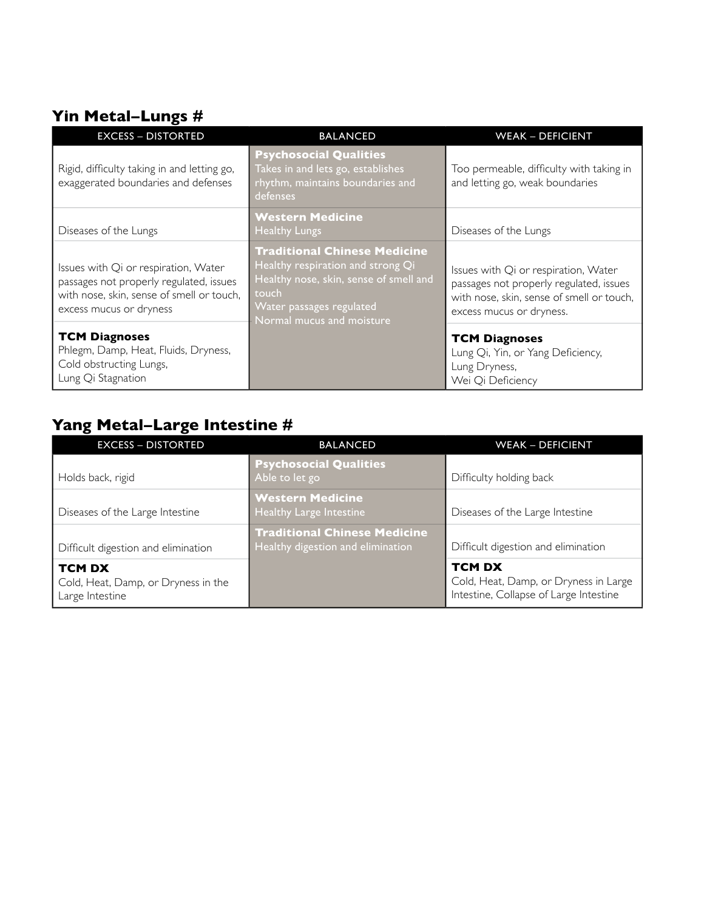# **Yin Metal–Lungs #**

| <b>EXCESS - DISTORTED</b>                                                                                                                               | <b>BALANCED</b>                                                                                                                                                                      | <b>WEAK - DEFICIENT</b>                                                                                                                                  |  |  |
|---------------------------------------------------------------------------------------------------------------------------------------------------------|--------------------------------------------------------------------------------------------------------------------------------------------------------------------------------------|----------------------------------------------------------------------------------------------------------------------------------------------------------|--|--|
| Rigid, difficulty taking in and letting go,<br>exaggerated boundaries and defenses                                                                      | <b>Psychosocial Qualities</b><br>Takes in and lets go, establishes<br>rhythm, maintains boundaries and<br>defenses                                                                   | Too permeable, difficulty with taking in<br>and letting go, weak boundaries                                                                              |  |  |
| Diseases of the Lungs                                                                                                                                   | <b>Western Medicine</b><br><b>Healthy Lungs</b>                                                                                                                                      | Diseases of the Lungs                                                                                                                                    |  |  |
| Issues with Qi or respiration, Water<br>passages not properly regulated, issues<br>with nose, skin, sense of smell or touch,<br>excess mucus or dryness | <b>Traditional Chinese Medicine</b><br>Healthy respiration and strong Qi<br>Healthy nose, skin, sense of smell and<br>touch<br>Water passages regulated<br>Normal mucus and moisture | Issues with Qi or respiration, Water<br>passages not properly regulated, issues<br>with nose, skin, sense of smell or touch,<br>excess mucus or dryness. |  |  |
| <b>TCM Diagnoses</b><br>Phlegm, Damp, Heat, Fluids, Dryness,<br>Cold obstructing Lungs,<br>Lung Qi Stagnation                                           |                                                                                                                                                                                      | <b>TCM Diagnoses</b><br>Lung Qi, Yin, or Yang Deficiency,<br>Lung Dryness,<br>Wei Qi Deficiency                                                          |  |  |

# **Yang Metal–Large Intestine #**

| <b>EXCESS - DISTORTED</b>                                               | <b>BALANCED</b>                                                          | <b>WEAK - DEFICIENT</b>                                                                          |  |  |
|-------------------------------------------------------------------------|--------------------------------------------------------------------------|--------------------------------------------------------------------------------------------------|--|--|
| Holds back, rigid                                                       | <b>Psychosocial Qualities</b><br>Able to let go                          | Difficulty holding back                                                                          |  |  |
| Diseases of the Large Intestine                                         | <b>Western Medicine</b><br>Healthy Large Intestine                       | Diseases of the Large Intestine                                                                  |  |  |
| Difficult digestion and elimination                                     | <b>Traditional Chinese Medicine</b><br>Healthy digestion and elimination | Difficult digestion and elimination                                                              |  |  |
| <b>TCM DX</b><br>Cold, Heat, Damp, or Dryness in the<br>Large Intestine |                                                                          | <b>TCM DX</b><br>Cold, Heat, Damp, or Dryness in Large<br>Intestine, Collapse of Large Intestine |  |  |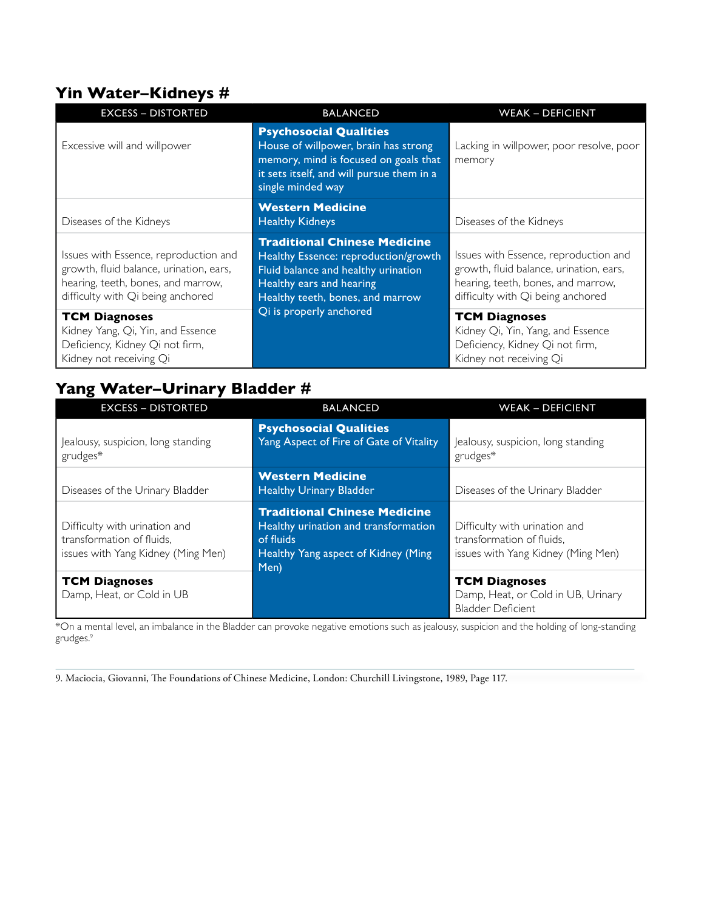### **Yin Water–Kidneys #**

| <b>EXCESS - DISTORTED</b>                                                                                                                                   | <b>BALANCED</b>                                                                                                                                                                    | <b>WEAK - DEFICIENT</b>                                                                                                                                     |
|-------------------------------------------------------------------------------------------------------------------------------------------------------------|------------------------------------------------------------------------------------------------------------------------------------------------------------------------------------|-------------------------------------------------------------------------------------------------------------------------------------------------------------|
| Excessive will and willpower                                                                                                                                | <b>Psychosocial Qualities</b><br>House of willpower, brain has strong<br>memory, mind is focused on goals that<br>it sets itself, and will pursue them in a<br>single minded way   | Lacking in willpower, poor resolve, poor<br>memory                                                                                                          |
| Diseases of the Kidneys                                                                                                                                     | <b>Western Medicine</b><br><b>Healthy Kidneys</b>                                                                                                                                  | Diseases of the Kidneys                                                                                                                                     |
| Issues with Essence, reproduction and<br>growth, fluid balance, urination, ears,<br>hearing, teeth, bones, and marrow,<br>difficulty with Qi being anchored | <b>Traditional Chinese Medicine</b><br>Healthy Essence: reproduction/growth<br>Fluid balance and healthy urination<br>Healthy ears and hearing<br>Healthy teeth, bones, and marrow | Issues with Essence, reproduction and<br>growth, fluid balance, urination, ears,<br>hearing, teeth, bones, and marrow,<br>difficulty with Qi being anchored |
| <b>TCM Diagnoses</b><br>Kidney Yang, Qi, Yin, and Essence<br>Deficiency, Kidney Qi not firm,<br>Kidney not receiving Qi                                     | Qi is properly anchored                                                                                                                                                            | <b>TCM Diagnoses</b><br>Kidney Qi, Yin, Yang, and Essence<br>Deficiency, Kidney Qi not firm,<br>Kidney not receiving Qi                                     |

# **Yang Water–Urinary Bladder #**

| <b>EXCESS - DISTORTED</b>                                                                        | <b>BALANCED</b>                                                                                                                         | <b>WEAK - DEFICIENT</b>                                                                          |  |  |
|--------------------------------------------------------------------------------------------------|-----------------------------------------------------------------------------------------------------------------------------------------|--------------------------------------------------------------------------------------------------|--|--|
| Jealousy, suspicion, long standing<br>grudges*                                                   | <b>Psychosocial Qualities</b><br>Yang Aspect of Fire of Gate of Vitality                                                                | Jealousy, suspicion, long standing<br>grudges*                                                   |  |  |
| Diseases of the Urinary Bladder                                                                  | <b>Western Medicine</b><br><b>Healthy Urinary Bladder</b>                                                                               | Diseases of the Urinary Bladder                                                                  |  |  |
| Difficulty with urination and<br>transformation of fluids.<br>issues with Yang Kidney (Ming Men) | <b>Traditional Chinese Medicine</b><br>Healthy urination and transformation<br>of fluids<br>Healthy Yang aspect of Kidney (Ming<br>Men) | Difficulty with urination and<br>transformation of fluids,<br>issues with Yang Kidney (Ming Men) |  |  |
| <b>TCM Diagnoses</b><br>Damp, Heat, or Cold in UB                                                |                                                                                                                                         | <b>TCM Diagnoses</b><br>Damp, Heat, or Cold in UB, Urinary<br><b>Bladder Deficient</b>           |  |  |

\*On a mental level, an imbalance in the Bladder can provoke negative emotions such as jealousy, suspicion and the holding of long-standing grudges.9

9. Maciocia, Giovanni, The Foundations of Chinese Medicine, London: Churchill Livingstone, 1989, Page 117.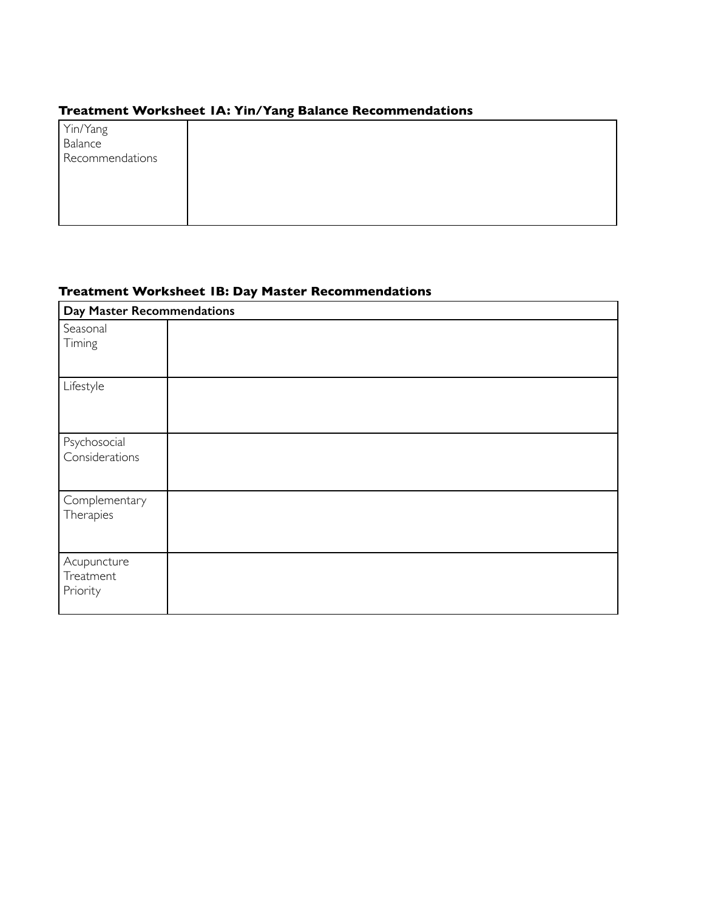### **Treatment Worksheet 1A: Yin/Yang Balance Recommendations**

| Yin/Yang<br>Balance |  |
|---------------------|--|
| Recommendations     |  |
|                     |  |
|                     |  |
|                     |  |
|                     |  |

### **Treatment Worksheet 1B: Day Master Recommendations**

| Day Master Recommendations           |  |
|--------------------------------------|--|
| Seasonal<br>Timing                   |  |
| Lifestyle                            |  |
| Psychosocial<br>Considerations       |  |
| Complementary<br>Therapies           |  |
| Acupuncture<br>Treatment<br>Priority |  |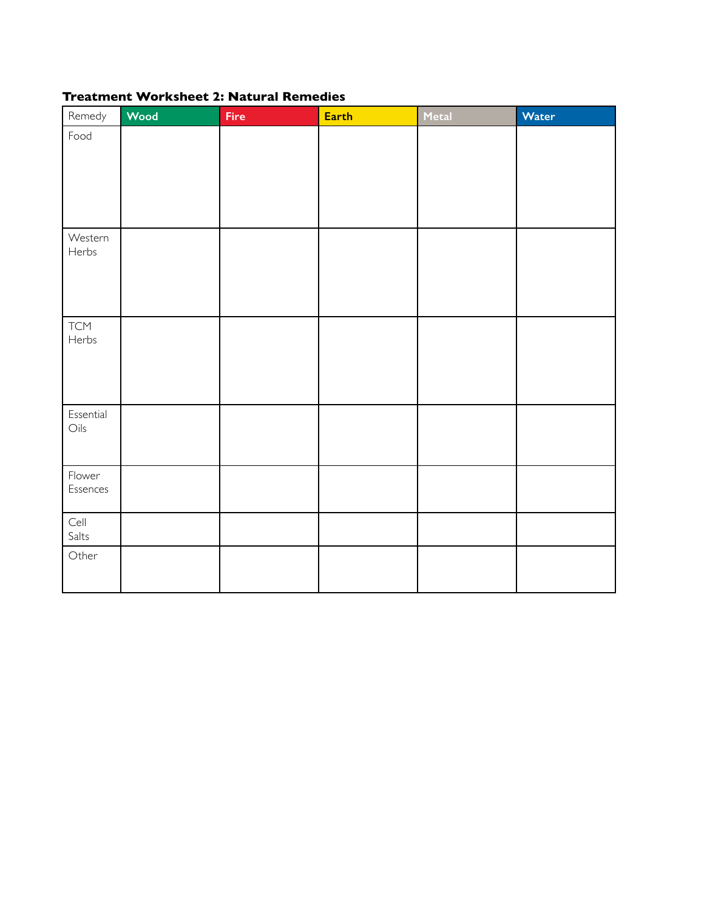#### **Treatment Worksheet 2: Natural Remedies**

| Remedy                      | Wood | Fire | Earth | Metal | Water |
|-----------------------------|------|------|-------|-------|-------|
| Food                        |      |      |       |       |       |
|                             |      |      |       |       |       |
|                             |      |      |       |       |       |
|                             |      |      |       |       |       |
| Western<br>Herbs            |      |      |       |       |       |
|                             |      |      |       |       |       |
|                             |      |      |       |       |       |
|                             |      |      |       |       |       |
| <b>TCM</b><br>Herbs         |      |      |       |       |       |
|                             |      |      |       |       |       |
|                             |      |      |       |       |       |
| Essential<br>$\bigcirc$ ils |      |      |       |       |       |
|                             |      |      |       |       |       |
| Flower                      |      |      |       |       |       |
| Essences                    |      |      |       |       |       |
|                             |      |      |       |       |       |
| Cell<br>Salts               |      |      |       |       |       |
| Other                       |      |      |       |       |       |
|                             |      |      |       |       |       |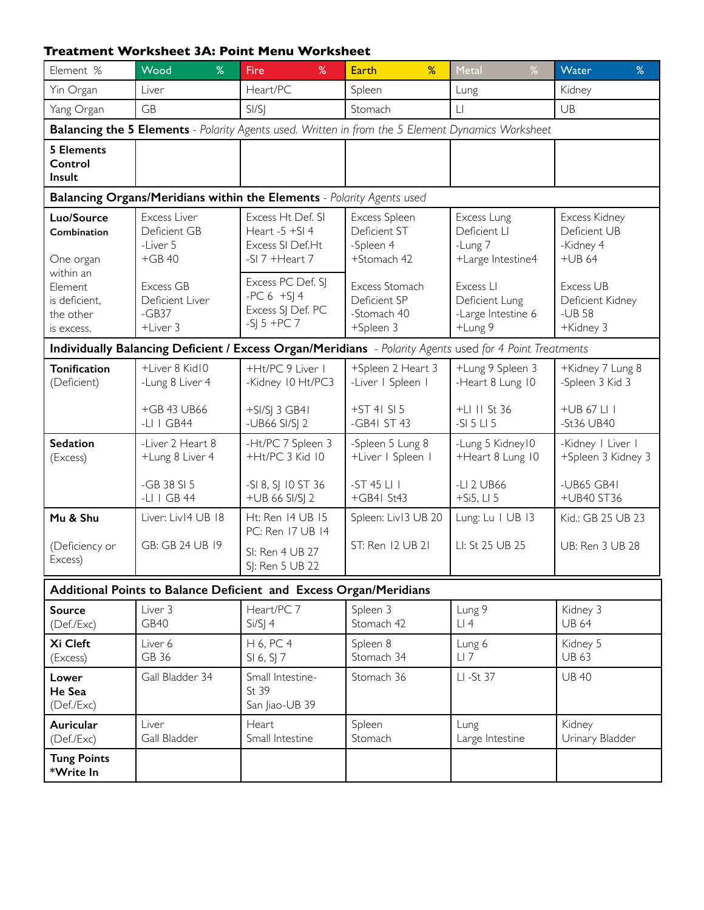#### **Treatment Worksheet 3A: Point Menu Worksheet**

| Element %                                                        | Wood<br>%                                                             | Fire<br>%                                                                                                | %<br><b>Earth</b>                                          | %<br>Metal                                                   | Water<br>%                                            |                                      |                                     |  |  |  |  |
|------------------------------------------------------------------|-----------------------------------------------------------------------|----------------------------------------------------------------------------------------------------------|------------------------------------------------------------|--------------------------------------------------------------|-------------------------------------------------------|--------------------------------------|-------------------------------------|--|--|--|--|
| Yin Organ                                                        | Liver                                                                 | Heart/PC                                                                                                 | Spleen                                                     | Lung                                                         | Kidney                                                |                                      |                                     |  |  |  |  |
| Yang Organ                                                       | <b>GB</b>                                                             | S <sub>1</sub> /S <sub>1</sub>                                                                           | $\mathsf{L}\mathsf{I}$<br>Stomach                          |                                                              | UB                                                    |                                      |                                     |  |  |  |  |
|                                                                  |                                                                       | <b>Balancing the 5 Elements</b> - Polarity Agents used. Written in from the 5 Element Dynamics Worksheet |                                                            |                                                              |                                                       |                                      |                                     |  |  |  |  |
| <b>5 Elements</b><br>Control<br>Insult                           |                                                                       |                                                                                                          |                                                            |                                                              |                                                       |                                      |                                     |  |  |  |  |
|                                                                  | Balancing Organs/Meridians within the Elements - Polarity Agents used |                                                                                                          |                                                            |                                                              |                                                       |                                      |                                     |  |  |  |  |
| Luo/Source<br>Combination<br>One organ                           | Excess Liver<br>Deficient GB<br>-Liver 5<br>$+GB40$                   | Excess Ht Def. SI<br>Heart -5 +SI 4<br>Excess SI Def.Ht<br>-SI 7 +Heart 7                                | Excess Spleen<br>Deficient ST<br>-Spleen 4<br>+Stomach 42  | Excess Lung<br>Deficient LI<br>-Lung 7<br>+Large Intestine4  | Excess Kidney<br>Deficient UB<br>-Kidney 4<br>$+UB64$ |                                      |                                     |  |  |  |  |
| within an<br>Element<br>is deficient,<br>the other<br>is excess. | Excess GB<br>Deficient Liver<br>$-GB37$<br>+Liver 3                   | Excess PC Def. SJ<br>$-PC 6 + S$   4<br>Excess SJ Def. PC<br>$-SI_5 + PC_7$                              | Excess Stomach<br>Deficient SP<br>-Stomach 40<br>+Spleen 3 | Excess LI<br>Deficient Lung<br>-Large Intestine 6<br>+Lung 9 | Excess UB<br>Deficient Kidney<br>$-UB58$<br>+Kidney 3 |                                      |                                     |  |  |  |  |
|                                                                  |                                                                       | Individually Balancing Deficient / Excess Organ/Meridians - Polarity Agents used for 4 Point Treatments  |                                                            |                                                              |                                                       |                                      |                                     |  |  |  |  |
| <b>Tonification</b><br>(Deficient)                               | +Liver 8 Kid10<br>-Lung 8 Liver 4                                     |                                                                                                          | +Ht/PC 9 Liver 1<br>-Kidney 10 Ht/PC3                      |                                                              | +Spleen 2 Heart 3<br>-Liver   Spleen                  | +Lung 9 Spleen 3<br>-Heart 8 Lung 10 | +Kidney 7 Lung 8<br>-Spleen 3 Kid 3 |  |  |  |  |
|                                                                  | +GB 43 UB66<br>-LI $\mid$ GB44                                        | $+$ SI/SJ 3 GB4I<br>-UB66 SI/SJ 2                                                                        | +ST 4I SI 5<br>-GB41 ST 43                                 | +LI II St 36<br>$-SI 5 LI 5$                                 | +UB 67 LI I<br>-St36 UB40                             |                                      |                                     |  |  |  |  |
| <b>Sedation</b><br>(Excess)                                      | -Liver 2 Heart 8<br>+Lung 8 Liver 4                                   | -Ht/PC 7 Spleen 3<br>+Ht/PC 3 Kid 10                                                                     | -Spleen 5 Lung 8<br>+Liver   Spleen                        | -Lung 5 Kidney10<br>+Heart 8 Lung 10                         | -Kidney   Liver  <br>+Spleen 3 Kidney 3               |                                      |                                     |  |  |  |  |
|                                                                  | -GB 38 SI 5<br>$-LI$ I GB 44                                          | -SI 8, SJ 10 ST 36<br>+UB 66 SI/SJ 2                                                                     | $-ST$ 45 $LI$ $I$<br>+GB4  St43                            | -LI 2 UB66<br>$+Si5, LI5$                                    | -UB65 GB41<br>+UB40 ST36                              |                                      |                                     |  |  |  |  |
| Mu & Shu                                                         | Liver: Liv14 UB 18                                                    | Ht: Ren 14 UB 15<br>PC: Ren 17 UB 14                                                                     | Spleen: Liv13 UB 20                                        | Lung: Lu   UB   3                                            | Kid.: GB 25 UB 23                                     |                                      |                                     |  |  |  |  |
| (Deficiency or<br>Excess)                                        | GB: GB 24 UB 19                                                       | SI: Ren 4 UB 27<br>S : Ren 5 UB 22                                                                       | ST: Ren 12 UB 21                                           | UB: Ren 3 UB 28                                              |                                                       |                                      |                                     |  |  |  |  |
|                                                                  |                                                                       | Additional Points to Balance Deficient and Excess Organ/Meridians                                        |                                                            |                                                              |                                                       |                                      |                                     |  |  |  |  |
| <b>Source</b><br>(Def./Exc)                                      | Liver 3<br>GB40                                                       | Heart/PC 7<br>$Si/S$ ] 4                                                                                 | Spleen 3<br>Stomach 42                                     | Lung 9<br>LI4                                                | Kidney 3<br><b>UB 64</b>                              |                                      |                                     |  |  |  |  |
| Xi Cleft<br>(Excess)                                             | Liver 6<br>GB 36                                                      | H 6, PC 4<br>SI 6, SJ 7                                                                                  | Spleen 8<br>Stomach 34                                     | Lung 6<br>$LI$ 7                                             | Kidney 5<br><b>UB 63</b>                              |                                      |                                     |  |  |  |  |
| Lower<br>He Sea<br>(Def./Exc)                                    | Gall Bladder 34                                                       | Small Intestine-<br>St 39<br>San Jiao-UB 39                                                              | Stomach 36                                                 | LI-St 37                                                     | <b>UB40</b>                                           |                                      |                                     |  |  |  |  |
| Auricular<br>(Def./Exc)                                          | Liver<br>Gall Bladder                                                 | Heart<br>Small Intestine                                                                                 | Spleen<br>Stomach                                          | Lung<br>Large Intestine                                      | Kidney<br>Urinary Bladder                             |                                      |                                     |  |  |  |  |
| <b>Tung Points</b><br>*Write In                                  |                                                                       |                                                                                                          |                                                            |                                                              |                                                       |                                      |                                     |  |  |  |  |